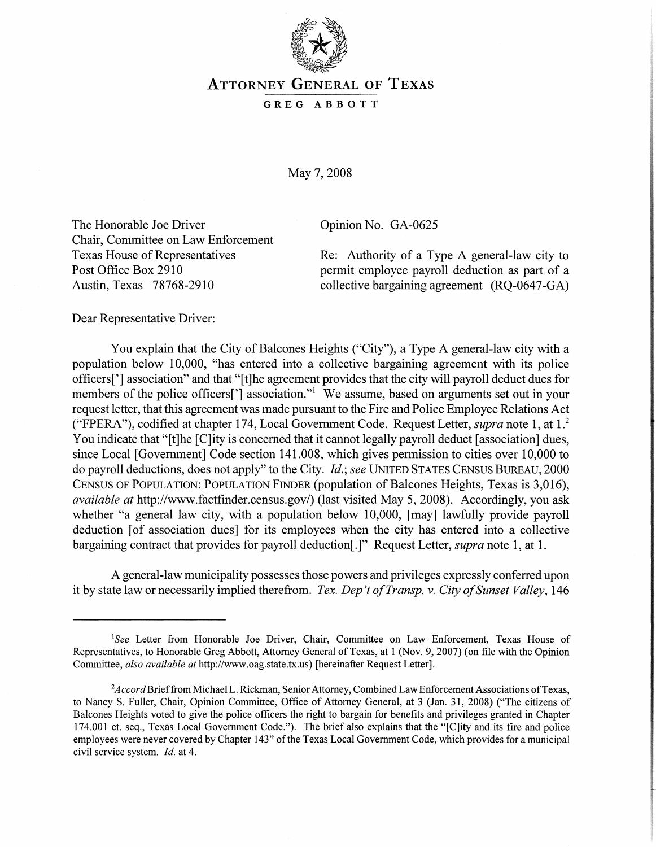

## ATTORNEY GENERAL OF TEXAS

## GREG ABBOTT

May 7, 2008

The Honorable Joe Driver Chair, Committee on Law Enforcement Texas House of Representatives Post Office Box 2910 Austin, Texas 78768-2910

Opinion No. GA-0625

Re: Authority of a Type A general-law city to permit employee payroll deduction as part of a collective bargaining agreement (RQ-0647-GA)

Dear Representative Driver:

You explain that the City of Balcones Heights ("City"), a Type A general-law city with a population below 10,000, "has entered into a collective bargaining agreement with its police officers['] association" and that "[t]he agreement provides that the city will payroll deduct dues for members of the police officers['] association."<sup>1</sup> We assume, based on arguments set out in your request letter, that this agreement was made pursuant to the Fire and Police Employee Relations Act ("FPERA"), codified at chapter 174, Local Government Code. Request Letter, *supra* note 1, at 1.<sup>2</sup> You indicate that "[t]he [C]ity is concerned that it cannot legally payroll deduct [association] dues, since Local [Government] Code section 141.008, which gives permission to cities over 10,000 to do payroll deductions, does not apply" to the City. *Id.; see* UNITED STATES CENSUS BUREAU, 2000 CENSUS OF POPULATION: POPULATION FINDER (population of Balcones Heights, Texas is 3,016), *available at* http://www.factfinder.census.gov/) (last visited May 5, 2008). Accordingly, you ask whether "a general law city, with a population below 10,000, [may] lawfully provide payroll deduction [of association dues] for its employees when the city has entered into a collective bargaining contract that provides for payroll deduction[.]" Request Letter, *supra* note 1, at 1.

A general-law municipality possesses those powers and privileges expressly conferred upon it by state law or necessarily implied therefrom. *Tex. Dep 't ofTransp.* v. *City ofSunset Valley, 146*

<sup>&</sup>lt;sup>1</sup>See Letter from Honorable Joe Driver, Chair, Committee on Law Enforcement, Texas House of Representatives, to Honorable Greg Abbott, Attorney General of Texas, at 1 (Nov. 9, 2007) (on file with the Opinion Committee, also available at http://www.oag.state.tx.us) [hereinafter Request Letter].

 $^{2}$ Accord Brief from Michael L. Rickman, Senior Attorney, Combined Law Enforcement Associations of Texas, to Nancy S. Fuller, Chair, Opinion Committee, Office of Attorney General, at 3 (Jan. 31, 2008) ("The citizens of Balcones Heights voted to give the police officers the right to bargain for benefits and privileges granted in Chapter 174.001 et. seq., Texas Local Government Code."). The brief also explains that the "[C]ity and its fire and police employees were never covered by Chapter 143" of the Texas Local Government Code, which provides for a municipal civil service system. *Id.* at 4.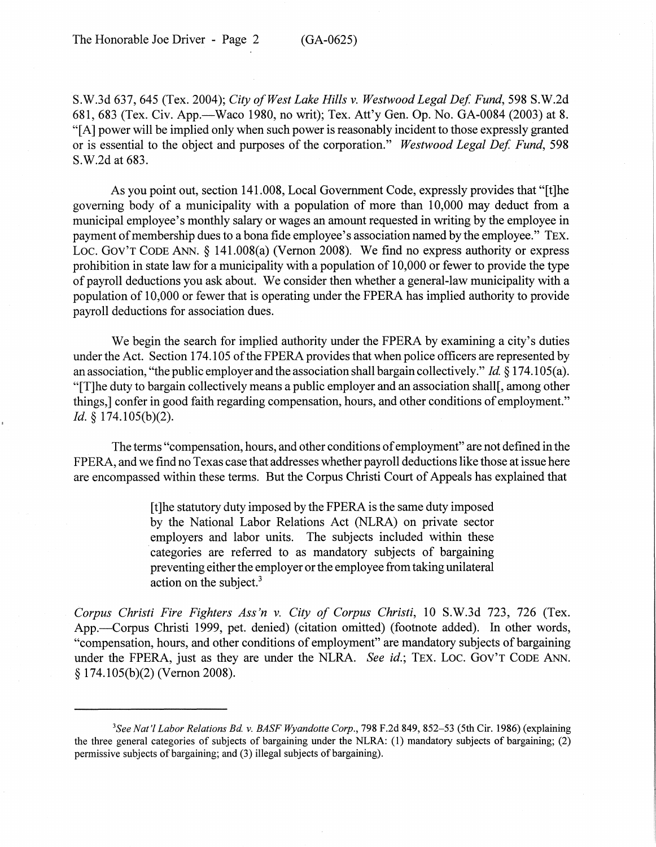S.W.3d 637, 645 (Tex. 2004); *City ofWest Lake Hills v. Westwood Legal De! Fund,* 598 S.W.2d 681, 683 (Tex. Civ. App.—Waco 1980, no writ); Tex. Att'y Gen. Op. No. GA-0084 (2003) at 8. "[A] power will be implied only when such power is reasonably incident to those expressly granted or is essential to the object and purposes of the corporation." *Westwood Legal De! Fund, 598* S.W.2d at 683.

As you point out, section 141.008, Local Government Code, expressly provides that "[t]he governing body of a municipality with a population of more than 10,000 may deduct from a municipal employee's monthly salary or wages an amount requested in writing by the employee in payment of membership dues to a bona fide employee's association named by the employee." TEX. Loc. Gov't Code Ann. § 141.008(a) (Vernon 2008). We find no express authority or express prohibition in state law for a municipality with a population of 10,000 or fewer to provide the type of payroll deductions you ask about. We consider then whether a general-law municipality with a population of 10,000 or fewer that is operating under the FPERA has implied authority to provide payroll deductions for association dues.

We begin the search for implied authority under the FPERA by examining a city's duties under the Act. Section 174.105 of the FPERA provides that when police officers are represented by an association, "the public employer and the association shall bargain collectively." *Id* § 174.105(a). "[T]he duty to bargain collectively means a public employer and an association shall[, among other things,] confer in good faith regarding compensation, hours, and other conditions of employment." *Id.* § 174.105(b)(2).

The terms "compensation, hours, and other conditions of employment" are not defined in the FPERA, and we find no Texas case that addresses whether payroll deductions like those at issue here are encompassed within these terms. But the Corpus Christi Court of Appeals has explained that

> [t]he statutory duty imposed by the FPERA is the same duty imposed by the National Labor Relations Act (NLRA) on private sector employers and labor units. The subjects included within these categories are referred to as mandatory subjects of bargaining preventing either the employer or the employee from taking unilateral action on the subject.<sup>3</sup>

*Corpus Christi Fire Fighters Ass'n v. City of Corpus Christi,* 10 S.W.3d 723, 726 (Tex. App.—Corpus Christi 1999, pet. denied) (citation omitted) (footnote added). In other words, "compensation, hours, and other conditions of employment" are mandatory subjects of bargaining under the FPERA, just as they are under the NLRA. *See id.;* TEX. Loc. GOV'T CODE ANN. § 174.105(b)(2) (Vernon 2008).

*<sup>3</sup>See Nat'l Labor Relations Bd.* v. *BASF Wyandotte Corp.,* 798 F.2d 849,852-53 (5th Cir. 1986) (explaining the three general categories of subjects of bargaining under the NLRA: (1) mandatory subjects of bargaining; (2) permissive subjects of bargaining; and (3) illegal subjects of bargaining).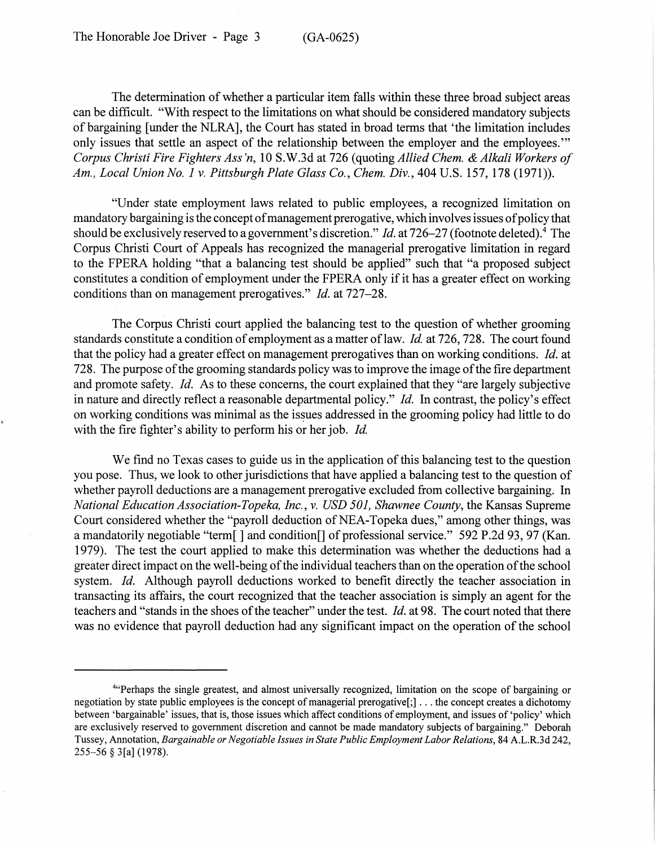The Honorable Joe Driver - Page 3 (GA-0625)

The determination of whether a particular item falls within these three broad subject areas can be difficult. "With respect to the limitations on what should be considered mandatory subjects of bargaining [under the NLRA], the Court has stated in broad terms that 'the limitation includes only issues that settle an aspect of the relationship between the employer and the employees." *Corpus Christi Fire Fighters Ass'n,* 10 S.W.3d at 726 (quoting *Allied Chern.* & *Alkali Workers of Am., Local Union No.1* v. *Pittsburgh Plate Glass Co., Chern. Div.,* 404 U.S. 157, 178 (1971)).

"Under state employment laws related to public employees, a recognized limitation on mandatory bargaining is the concept of management prerogative, which involves issues of policy that should be exclusively reserved to a government's discretion." *Id.* at 726-27 (footnote deleted).4 The Corpus Christi Court of Appeals has recognized the managerial prerogative limitation in regard to the FPERA holding "that a balancing test should be applied" such that "a proposed subject constitutes a condition of employment under the FPERA only if it has a greater effect on working conditions than on management prerogatives." *Id.* at 727-28.

The Corpus Christi court applied the balancing test to the question of whether grooming standards constitute a condition of employment as a matter of law. *Id.* at 726, 728. The court found that the policy had a greater effect on management prerogatives than on working conditions. *Id.* at 728. The purpose of the grooming standards policy was to improve the image of the fire department and promote safety. *Id.* As to these concerns, the court explained that they "are largely subjective in nature and directly reflect a reasonable departmental policy." *Id.* In contrast, the policy's effect on working conditions was minimal as the issues addressed in the grooming policy had little to do with the fire fighter's ability to perform his or her job. *Id.*

We find no Texas cases to guide us in the application of this balancing test to the question you pose. Thus, we look to other jurisdictions that have applied a balancing test to the question of whether payroll deductions are a management prerogative excluded from collective bargaining. In *National Education Association-Topeka, Inc.,* v. *USD 501, Shawnee County,* the Kansas Supreme Court considered whether the "payroll deduction of NEA-Topeka dues," among other things, was a mandatorily negotiable "term[] and condition[] of professional service." 592 P.2d 93,97 (Kan. 1979). The test the court applied to make this determination was whether the deductions had a greater direct impact on the well-being of the individual teachers than on the operation of the school system. *Id.* Although payroll deductions worked to benefit directly the teacher association in transacting its affairs, the court recognized that the teacher association is simply an agent for the teachers and "stands in the shoes of the teacher" under the test. *Id.* at 98. The court noted that there was no evidence that payroll deduction had any significant impact on the operation of the school

<sup>4&</sup>quot;Perhaps the single greatest, and almost universally recognized, limitation on the scope of bargaining or negotiation by state public employees is the concept ofmanagerial prerogative[;] ... the concept creates <sup>a</sup> dichotomy between 'bargainable' issues, that is, those issues which affect conditions of employment, and issues of 'policy' which are exclusively reserved to government discretion and cannot be made mandatory subjects of bargaining." Deborah Tussey, Annotation, *Bargainable orNegotiable Issues in State Public Employment Labor Relations,* 84 A.L.R.3d 242, 255-56 § 3[a] (1978).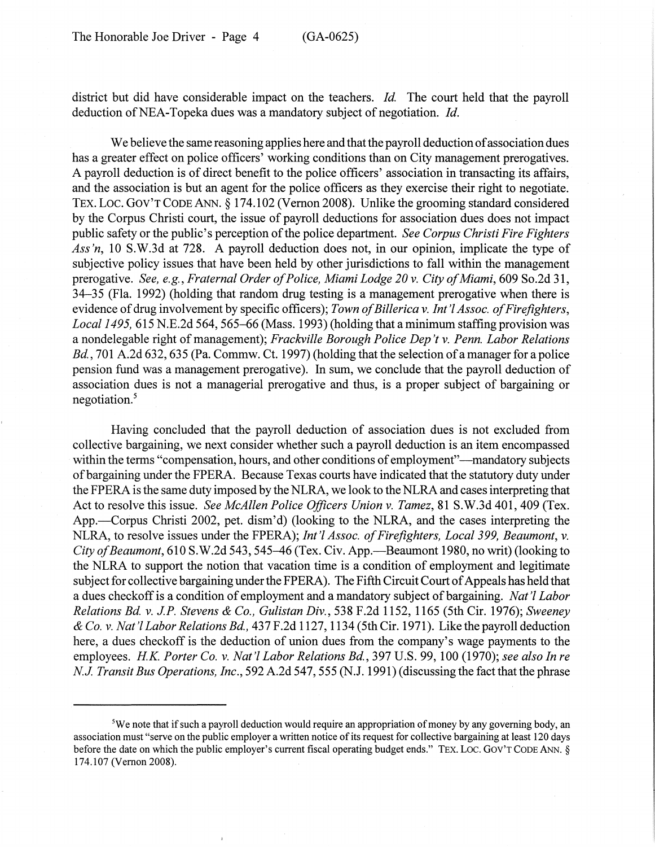district but did have considerable impact on the teachers. *Id.* The court held that the payroll deduction of NEA-Topeka dues was a mandatory subject of negotiation. *Id.* 

We believe the same reasoning applies here and that the payroll deduction of association dues has a greater effect on police officers' working conditions than on City management prerogatives. A payroll deduction is of direct benefit to the police officers' association in transacting its affairs, and the association is but an agent for the police officers as they exercise their right to negotiate. TEX. Loc. GOV'T CODE ANN. § 174.102 (Vernon 2008). Unlike the grooming standard considered by the Corpus Christi court, the issue of payroll deductions for association dues does not impact public safety or the public's perception ofthe police department. *See Corpus Christi Fire Fighters Ass'n,* 10 S.W.3d at 728. A payroll deduction does not, in our opinion, implicate the type of subjective policy issues that have been held by other jurisdictions to fall within the management prerogative. *See, e.g., Fraternal Order ofPolice, Miami Lodge 20* v. *City ofMiami,* 609 So.2d 31, 34-35 (Fla. 1992) (holding that random drug testing is a management prerogative when there is evidence ofdrug involvement by specific officers); *Town ofBillerica* v. *Int* 'I *Assoc. ofFirefighters, Local* 1495, 615 N.E.2d 564, 565-66 (Mass. 1993) (holding that a minimum staffing provision was a nondelegable right ofmanagement); *Frackville Borough Police Dep't* v. *Penn. Labor Relations Bd.,* 701 A.2d 632, 635 (Pa. Commw. Ct. 1997) (holding that the selection of a manager for a police pension fund was a management prerogative). In sum, we conclude that the payroll deduction of association dues is not a managerial prerogative and thus, is a proper subject of bargaining or negotiation.<sup>5</sup>

Having concluded that the payroll deduction of association dues is not excluded from collective bargaining, we next consider whether such a payroll deduction is an item encompassed within the terms "compensation, hours, and other conditions of employment"—mandatory subjects ofbargaining under the FPERA. Because Texas courts have indicated that the statutory duty under the FPERA isthe same duty imposed by the NLRA, we look to the NLRA and cases interpreting that Act to resolve this issue. *See McAllen Police Officers Union* v. *Tamez,* 81 S.W.3d 401, 409 (Tex. App.—Corpus Christi 2002, pet. dism'd) (looking to the NLRA, and the cases interpreting the NLRA, to resolve issues under the FPERA); *Int* 'I *Assoc. ofFirefighters, Local* 399, *Beaumont,* v. *City of Beaumont*, 610 S.W.2d 543, 545–46 (Tex. Civ. App.—Beaumont 1980, no writ) (looking to the NLRA to support the notion that vacation time is a condition of employment and legitimate subject for collective bargaining under the FPERA). The Fifth Circuit Court of Appeals has held that a dues checkoffis a condition of employment and a mandatory subject of bargaining. *Nat* 'I *Labor Relations Bd.* v. *J.P. Stevens* & *Co., Gulistan Div.,* 538 F.2d 1152, 1165 (5th Cir. 1976); *Sweeney & Co.* v. *Nat* 'I *Labor Relations Bd.,* 437 F.2d 1127, 1134 (5th Cir. 1971). Like the payroll deduction here, a dues checkoff is the deduction of union dues from the company's wage payments to the employees. *HK. Porter Co.* v. *Nat* 'I *Labor Relations Bd.,* 397 U.S. 99, 100 (1970); *see also In re NJ. Transit Bus Operations, Inc.,* 592 A.2d 547, 555 (N.J. 1991) (discussing the fact that the phrase

 $5$ We note that if such a payroll deduction would require an appropriation of money by any governing body, an association must "serve on the public employer a written notice ofits request for collective bargaining at least 120 days before the date on which the public employer's current fiscal operating budget ends." TEX. LOC. GOV'T CODE ANN. § 174.107 (Vernon 2008).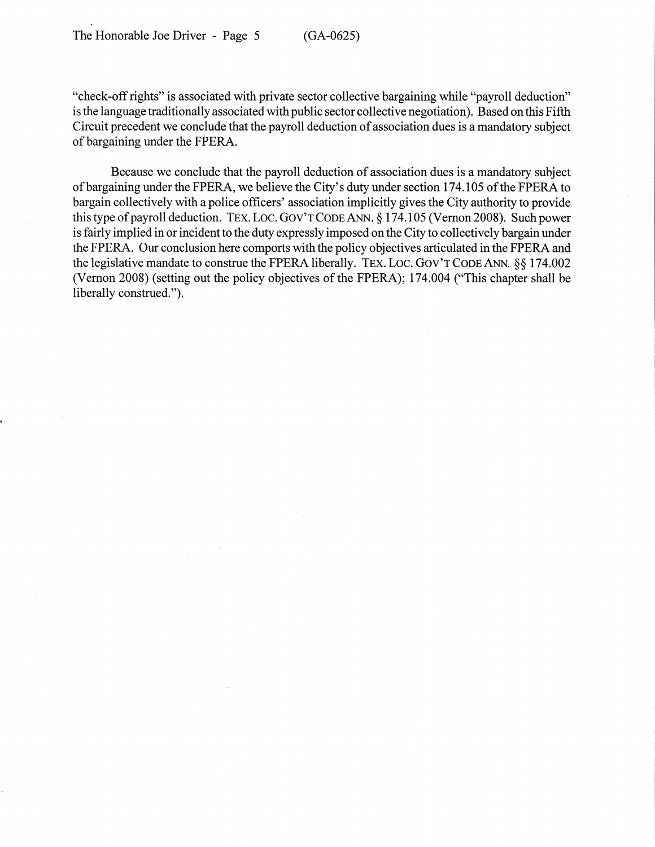"check-offrights" is associated with private sector collective bargaining while "payroll deduction" isthe language traditionally associated with public sector collective negotiation). Based on this Fifth Circuit precedent we conclude that the payroll deduction of association dues is a mandatory subject of bargaining under the FPERA.

Because we conclude that the payroll deduction of association dues is a mandatory subject of bargaining under the FPERA, we believe the City's duty under section 174.105 of the FPERA to bargain collectively with a police officers' association implicitly gives the City authority to provide this type of payroll deduction. TEX. LOC. GOV'T CODE ANN. § 174.105 (Vernon 2008). Such power is fairly implied in or incident to the duty expressly imposed on the City to collectively bargain under the FPERA. Our conclusion here comports with the policy objectives articulated in the FPERA and the legislative mandate to construe the FPERA liberally. TEX. LOC. GOV'T CODE ANN. §§ 174.002 (Vernon 2008) (setting out the policy objectives of the FPERA); 174.004 ("This chapter shall be liberally construed."),